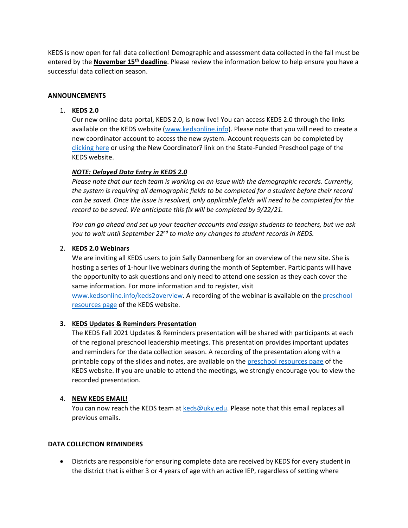KEDS is now open for fall data collection! Demographic and assessment data collected in the fall must be entered by the **November 15th deadline**. Please review the information below to help ensure you have a successful data collection season.

### **ANNOUNCEMENTS**

# 1. **KEDS 2.0**

Our new online data portal, KEDS 2.0, is now live! You can access KEDS 2.0 through the links available on the KEDS website [\(www.kedsonline.info\)](http://www.kedsonline.info/). Please note that you will need to create a new coordinator account to access the new system. Account requests can be completed by [clicking here](https://uky.az1.qualtrics.com/jfe/form/SV_00LtPuRvfA8AIxT?Q_JFE=qdg) or using the New Coordinator? link on the State-Funded Preschool page of the KEDS website.

# *NOTE: Delayed Data Entry in KEDS 2.0*

*Please note that our tech team is working on an issue with the demographic records. Currently, the system is requiring all demographic fields to be completed for a student before their record can be saved. Once the issue is resolved, only applicable fields will need to be completed for the record to be saved. We anticipate this fix will be completed by 9/22/21.* 

*You can go ahead and set up your teacher accounts and assign students to teachers, but we ask you to wait until September 22nd to make any changes to student records in KEDS.*

# 2. **KEDS 2.0 Webinars**

We are inviting all KEDS users to join Sally Dannenberg for an overview of the new site. She is hosting a series of 1-hour live webinars during the month of September. Participants will have the opportunity to ask questions and only need to attend one session as they each cover the same information. For more information and to register, visit [www.kedsonline.info/keds2overview.](http://www.kedsonline.info/keds2overview) A recording of the webinar is available on the [preschool](http://www.kedsonline.info/preschool-resources) 

[resources page](http://www.kedsonline.info/preschool-resources) of the KEDS website.

# **3. KEDS Updates & Reminders Presentation**

The KEDS Fall 2021 Updates & Reminders presentation will be shared with participants at each of the regional preschool leadership meetings. This presentation provides important updates and reminders for the data collection season. A recording of the presentation along with a printable copy of the slides and notes, are available on the [preschool resources page](http://www.kedsonline.info/preschool-resources) of the KEDS website. If you are unable to attend the meetings, we strongly encourage you to view the recorded presentation.

# 4. **NEW KEDS EMAIL!**

You can now reach the KEDS team at [keds@uky.edu.](mailto:keds@uky.edu) Please note that this email replaces all previous emails.

### **DATA COLLECTION REMINDERS**

• Districts are responsible for ensuring complete data are received by KEDS for every student in the district that is either 3 or 4 years of age with an active IEP, regardless of setting where